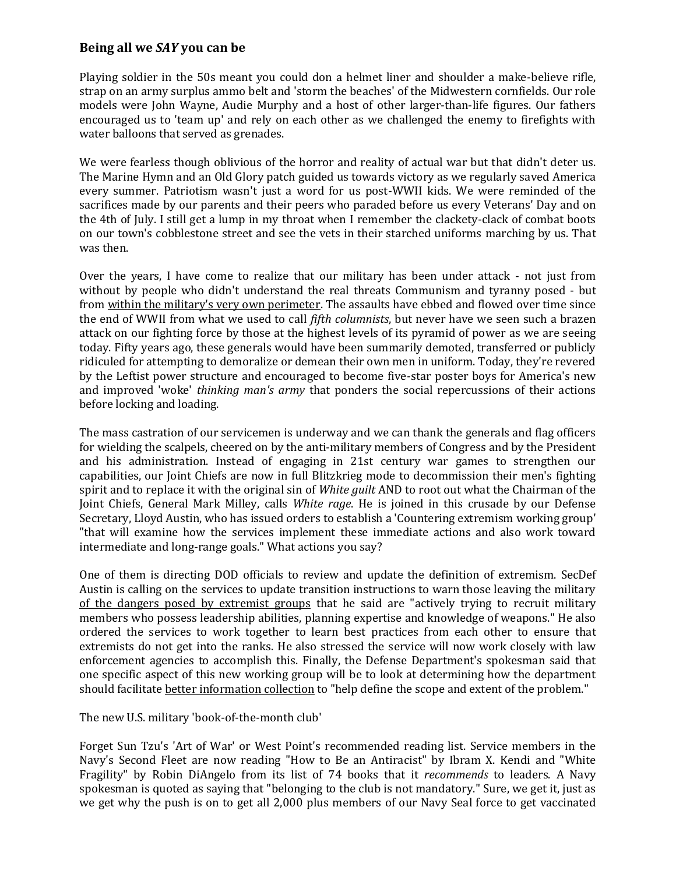## **Being all we** *SAY* **you can be**

Playing soldier in the 50s meant you could don a helmet liner and shoulder a make-believe rifle, strap on an army surplus ammo belt and 'storm the beaches' of the Midwestern cornfields. Our role models were John Wayne, Audie Murphy and a host of other larger-than-life figures. Our fathers encouraged us to 'team up' and rely on each other as we challenged the enemy to firefights with water balloons that served as grenades.

We were fearless though oblivious of the horror and reality of actual war but that didn't deter us. The Marine Hymn and an Old Glory patch guided us towards victory as we regularly saved America every summer. Patriotism wasn't just a word for us post-WWII kids. We were reminded of the sacrifices made by our parents and their peers who paraded before us every Veterans' Day and on the 4th of July. I still get a lump in my throat when I remember the clackety-clack of combat boots on our town's cobblestone street and see the vets in their starched uniforms marching by us. That was then.

Over the years, I have come to realize that our military has been under attack - not just from without by people who didn't understand the real threats Communism and tyranny posed - but from within the military's very own perimeter. The assaults have ebbed and flowed over time since the end of WWII from what we used to call *fifth columnists*, but never have we seen such a brazen attack on our fighting force by those at the highest levels of its pyramid of power as we are seeing today. Fifty years ago, these generals would have been summarily demoted, transferred or publicly ridiculed for attempting to demoralize or demean their own men in uniform. Today, they're revered by the Leftist power structure and encouraged to become five-star poster boys for America's new and improved 'woke' *thinking man's army* that ponders the social repercussions of their actions before locking and loading.

The mass castration of our servicemen is underway and we can thank the generals and flag officers for wielding the scalpels, cheered on by the anti-military members of Congress and by the President and his administration. Instead of engaging in 21st century war games to strengthen our capabilities, our Joint Chiefs are now in full Blitzkrieg mode to decommission their men's fighting spirit and to replace it with the original sin of *White guilt* AND to root out what the Chairman of the Joint Chiefs, General Mark Milley, calls *White rage*. He is joined in this crusade by our Defense Secretary, Lloyd Austin, who has issued orders to establish a 'Countering extremism working group' "that will examine how the services implement these immediate actions and also work toward intermediate and long-range goals." What actions you say?

One of them is directing DOD officials to review and update the definition of extremism. SecDef Austin is calling on the services to update transition instructions to warn those leaving the military of the dangers posed by extremist groups that he said are "actively trying to recruit military members who possess leadership abilities, planning expertise and knowledge of weapons." He also ordered the services to work together to learn best practices from each other to ensure that extremists do not get into the ranks. He also stressed the service will now work closely with law enforcement agencies to accomplish this. Finally, the Defense Department's spokesman said that one specific aspect of this new working group will be to look at determining how the department should facilitate better information collection to "help define the scope and extent of the problem."

The new U.S. military 'book-of-the-month club'

Forget Sun Tzu's 'Art of War' or West Point's recommended reading list. Service members in the Navy's Second Fleet are now reading "How to Be an Antiracist" by Ibram X. Kendi and "White Fragility" by Robin DiAngelo from its list of 74 books that it *recommends* to leaders. A Navy spokesman is quoted as saying that "belonging to the club is not mandatory." Sure, we get it, just as we get why the push is on to get all 2,000 plus members of our Navy Seal force to get vaccinated